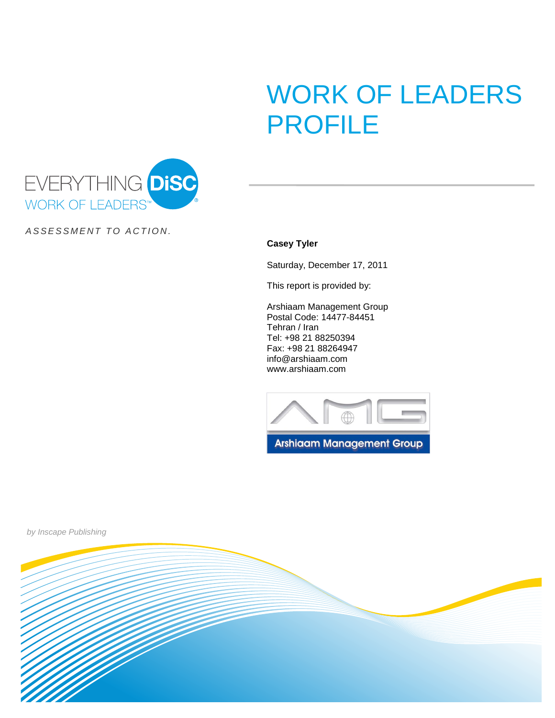# WORK OF LEADERS PROFILE



ASSESSMENT TO ACTION.

**Casey Tyler**

Saturday, December 17, 2011

This report is provided by:

Arshiaam Management Group Postal Code: 14477-84451 Tehran / Iran Tel: +98 21 88250394 Fax: +98 21 88264947 info@arshiaam.com www.arshiaam.com





by Inscape Publishing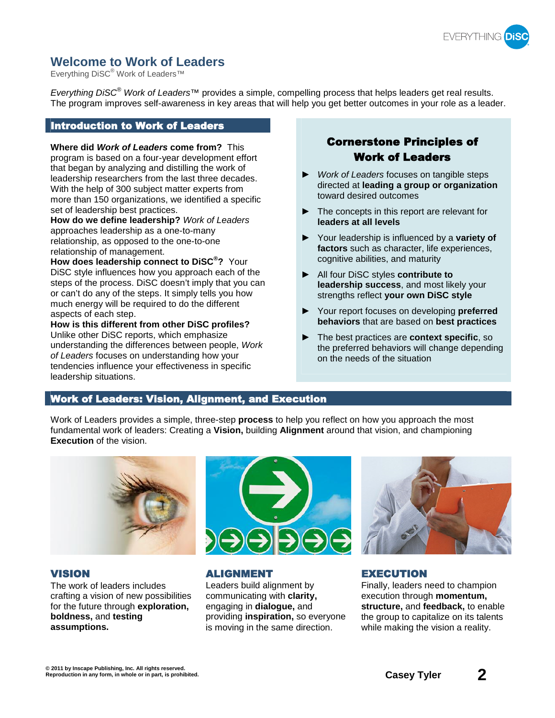

# **Welcome to Work of Leaders**

Everything DiSC<sup>®</sup> Work of Leaders<sup>™</sup>

Everything DiSC<sup>®</sup> Work of Leaders™ provides a simple, compelling process that helps leaders get real results. The program improves self-awareness in key areas that will help you get better outcomes in your role as a leader.

## Introduction to Work of Leaders

**Where did Work of Leaders come from?** This program is based on a four-year development effort that began by analyzing and distilling the work of leadership researchers from the last three decades. With the help of 300 subject matter experts from more than 150 organizations, we identified a specific set of leadership best practices.

**How do we define leadership?** Work of Leaders approaches leadership as a one-to-many relationship, as opposed to the one-to-one relationship of management.

**How does leadership connect to DiSC® ?** Your DiSC style influences how you approach each of the steps of the process. DiSC doesn't imply that you can or can't do any of the steps. It simply tells you how much energy will be required to do the different aspects of each step.

**How is this different from other DiSC profiles?** Unlike other DiSC reports, which emphasize understanding the differences between people, Work of Leaders focuses on understanding how your tendencies influence your effectiveness in specific leadership situations.

# Cornerstone Principles of Work of Leaders

- ▶ Work of Leaders focuses on tangible steps directed at **leading a group or organization** toward desired outcomes
- $\blacktriangleright$  The concepts in this report are relevant for **leaders at all levels**
- Your leadership is influenced by a **variety of factors** such as character, life experiences, cognitive abilities, and maturity
- All four DiSC styles **contribute to leadership success**, and most likely your strengths reflect **your own DiSC style**
- ▶ Your report focuses on developing **preferred behaviors** that are based on **best practices**
- The best practices are **context specific**, so the preferred behaviors will change depending on the needs of the situation

# Work of Leaders: Vision, Alignment, and Execution

Work of Leaders provides a simple, three-step **process** to help you reflect on how you approach the most fundamental work of leaders: Creating a **Vision,** building **Alignment** around that vision, and championing **Execution** of the vision.



The work of leaders includes crafting a vision of new possibilities for the future through **exploration, boldness,** and **testing assumptions.**



## VISION ALIGNMENT EXECUTION

Leaders build alignment by communicating with **clarity,** engaging in **dialogue,** and providing **inspiration,** so everyone is moving in the same direction.



Finally, leaders need to champion execution through **momentum, structure,** and **feedback,** to enable the group to capitalize on its talents while making the vision a reality.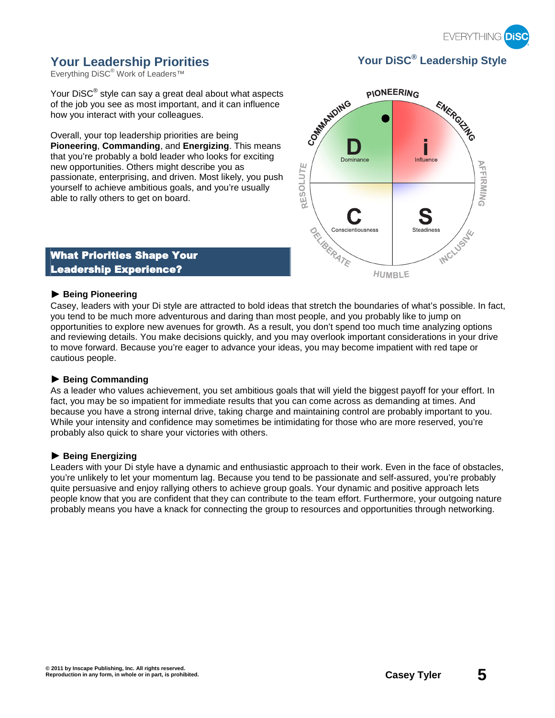

# **Your Leadership Priorities Your DiSC® Leadership Style**

Everything DiSC® Work of Leaders™

Your DiSC<sup>®</sup> style can say a great deal about what aspects of the job you see as most important, and it can influence how you interact with your colleagues.

Overall, your top leadership priorities are being **Pioneering**, **Commanding**, and **Energizing**. This means that you're probably a bold leader who looks for exciting new opportunities. Others might describe you as passionate, enterprising, and driven. Most likely, you push yourself to achieve ambitious goals, and you're usually able to rally others to get on board.



# What Priorities Shape Your Leadership Experience?

#### ) **Being Pioneering**

Casey, leaders with your Di style are attracted to bold ideas that stretch the boundaries of what's possible. In fact, you tend to be much more adventurous and daring than most people, and you probably like to jump on opportunities to explore new avenues for growth. As a result, you don't spend too much time analyzing options and reviewing details. You make decisions quickly, and you may overlook important considerations in your drive to move forward. Because you're eager to advance your ideas, you may become impatient with red tape or cautious people.

## ) **Being Commanding**

As a leader who values achievement, you set ambitious goals that will yield the biggest payoff for your effort. In fact, you may be so impatient for immediate results that you can come across as demanding at times. And because you have a strong internal drive, taking charge and maintaining control are probably important to you. While your intensity and confidence may sometimes be intimidating for those who are more reserved, you're probably also quick to share your victories with others.

## ) **Being Energizing**

Leaders with your Di style have a dynamic and enthusiastic approach to their work. Even in the face of obstacles, you're unlikely to let your momentum lag. Because you tend to be passionate and self-assured, you're probably quite persuasive and enjoy rallying others to achieve group goals. Your dynamic and positive approach lets people know that you are confident that they can contribute to the team effort. Furthermore, your outgoing nature probably means you have a knack for connecting the group to resources and opportunities through networking.